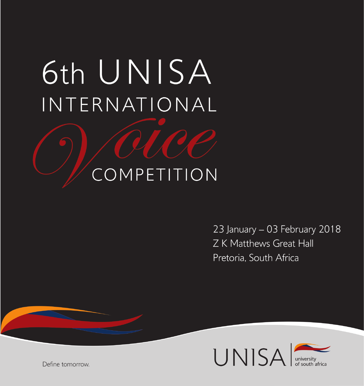# 6th UNISA INTERNATIONAL

## COMPETITION

23 January - 03 February 2018 Z K Matthews Great Hall Pretoria, South Africa



Define tomorrow.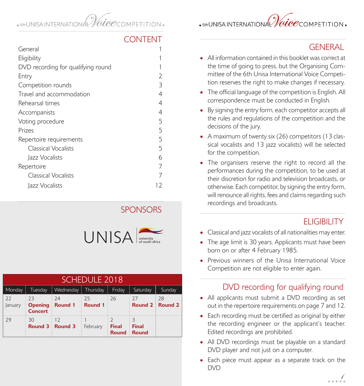## . 6th UNISA INTERNATION

## $\cdot$ 6thUNISAINTERNATIONAL $\% ice$ competition $\cdot$

#### CONTENT

| General                            |    |
|------------------------------------|----|
| Eligibility                        |    |
| DVD recording for qualifying round |    |
| Entry                              | 2  |
| Competition rounds                 | 3  |
| Travel and accommodation           | 4  |
| Rehearsal times                    | 4  |
| Accompanists                       | 4  |
| Voting procedure                   | 5  |
| Prizes                             | 5  |
| Repertoire requirements            | 5  |
| <b>Classical Vocalists</b>         | 5  |
| Jazz Vocalists                     | 6  |
| Repertoire                         | 7  |
| Classical Vocalists                |    |
| lazz Vocalists                     | 12 |

#### **SPONSORS**



| <b>SCHEDULE 2018</b> |                                        |                      |               |                              |                              |               |
|----------------------|----------------------------------------|----------------------|---------------|------------------------------|------------------------------|---------------|
| Monday               | Tuesday                                | Wednesday            | Thursday      | Friday                       | Saturday                     | Sunday        |
| 22<br>January        | 73<br><b>Opening</b><br><b>Concert</b> | 24<br><b>Round 1</b> | 25<br>Round 1 | 26                           | 27<br>Round 2                | 28<br>Round 2 |
| 29                   | 30<br>Round 3                          | 12<br>Round 3        | February      | <b>Final</b><br><b>Round</b> | <b>Final</b><br><b>Round</b> |               |

#### **GENERAL**

- All information contained in this booklet was correct at the time of going to press, but the Organising Committee of the 6th Unisa International Voice Competition reserves the right to make changes if necessary.
- The official language of the competition is English. All correspondence must be conducted in English.
- By signing the entry form, each competitor accepts all the rules and regulations of the competition and the decisions of the jury.
- A maximum of twenty six (26) competitors (13 classical vocalists and 13 jazz vocalists) will be selected for the competition.
- The organisers reserve the right to record all the performances during the competition, to be used at their discretion for radio and television broadcasts, or otherwise. Each competitor, by signing the entry form, will renounce all rights, fees and claims regarding such recordings and broadcasts.

#### **ELIGIBILITY**

- Classical and jazz vocalists of all nationalities may enter.
- The age limit is 30 years. Applicants must have been born on or after 4 February 1985.
- Previous winners of the Unisa International Voice Competition are not eligible to enter again.

#### DVD recording for qualifying round

- All applicants must submit a DVD recording as set out in the repertoire requirements on page 7 and 12.
- Each recording must be certified as original by either the recording engineer or the applicant's teacher. Edited recordings are prohibited.
- All DVD recordings must be playable on a standard DVD player and not just on a computer.
- Each piece must appear as a separate track on the DVD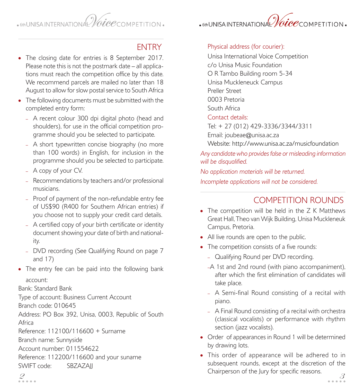$\frac{1}{2}$   $\frac{1}{2}$   $\frac{1}{2}$   $\frac{1}{2}$   $\frac{1}{2}$   $\frac{1}{2}$   $\frac{1}{2}$   $\frac{1}{2}$   $\frac{1}{2}$   $\frac{1}{2}$   $\frac{1}{2}$   $\frac{1}{2}$   $\frac{1}{2}$   $\frac{1}{2}$   $\frac{1}{2}$   $\frac{1}{2}$   $\frac{1}{2}$   $\frac{1}{2}$   $\frac{1}{2}$   $\frac{1}{2}$   $\frac{1}{2}$   $\frac{1}{2}$ 

## $\cdot$ 6thUNISAINTERNATIONAL $\%ice$ competition $\cdot$

#### **FNTRY**

- The closing date for entries is 8 September 2017. Please note this is not the postmark date – all applications must reach the competition office by this date. We recommend parcels are mailed no later than 18 August to allow for slow postal service to South Africa
- The following documents must be submitted with the completed entry form:
	- A recent colour 300 dpi digital photo (head and shoulders), for use in the official competition programme should you be selected to participate.
	- A short typewritten concise biography (no more than 100 words) in English, for inclusion in the programme should you be selected to participate.
	- A copy of your CV.
	- Recommendations by teachers and/or professional musicians.
	- Proof of payment of the non-refundable entry fee of US\$90 (R400 for Southern African entries) if you choose not to supply your credit card details.
	- A certified copy of your birth certificate or identity document showing your date of birth and nationality.
	- DVD recording (See Qualifying Round on page 7 and 17)
- The entry fee can be paid into the following bank account:

#### Bank: Standard Bank

Type of account: Business Current Account

Branch code: 010645

Address: PO Box 392, Unisa, 0003, Republic of South Africa

Reference: 112100/116600 + Surname

Branch name: Sunnyside

Account number: 011554622

Reference: 112200/116600 and your suname SWIFT code: SBZAZAII

Physical address (for courier):

Unisa International Voice Competition c/o Unisa Music Foundation O R Tambo Building room 5-34 Unisa Muckleneuck Campus Preller Street 0003 Pretoria South Africa

#### Contact details:

Tel: + 27 (012) 429-3336/3344/3311

Email: joubeae@unisa.ac.za

Website: http://www.unisa.ac.za/musicfoundation

*Any candidate who provides false or misleading information will be disqualified.*

*No application materials will be returned. Incomplete applications will not be considered.*

#### COMPETITION ROUNDS

- The competition will be held in the Z K Matthews Great Hall, Theo van Wijk Building, Unisa Muckleneuk Campus, Pretoria.
- All live rounds are open to the public.
- The competition consists of a five rounds:
	- Qualifying Round per DVD recording.
	- –A 1st and 2nd round (with piano accompaniment), after which the first elimination of candidates will take place.
	- A Semi-final Round consisting of a recital with piano.
	- A Final Round consisting of a recital with orchestra (classical vocalists) or performance with rhythm section (jazz vocalists).
- Order of appearances in Round 1 will be determined by drawing lots.
- $\mathscr{Q}$  Chain person of the jury for specific reasons. • This order of appearance will be adhered to in subsequent rounds, except at the discretion of the Chairperson of the Jury for specific reasons.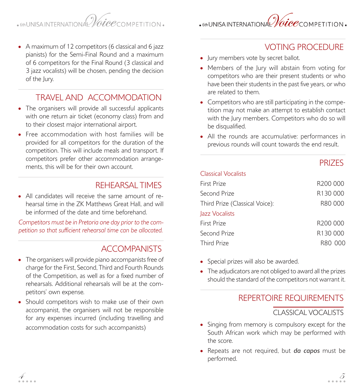## $\bullet$  6th UNISA INTERNATIONAL Valce competition.

- $\cdot$ 6thUNISAINTERNATIONAL $\% ice$ competition $\cdot$
- A maximum of 12 competitors (6 classical and 6 jazz pianists) for the Semi-Final Round and a maximum of 6 competitors for the Final Round (3 classical and 3 jazz vocalists) will be chosen, pending the decision of the Jury.

#### TRAVEL AND ACCOMMODATION

- The organisers will provide all successful applicants with one return air ticket (economy class) from and to their closest major international airport.
- Free accommodation with host families will be provided for all competitors for the duration of the competition. This will include meals and transport. If competitors prefer other accommodation arrangements, this will be for their own account.

#### REHEARSAL TIMES

• All candidates will receive the same amount of rehearsal time in the ZK Matthews Great Hall, and will be informed of the date and time beforehand.

*Competitors must be in Pretoria one day prior to the competition so that sufficient rehearsal time can be allocated.*

#### **ACCOMPANISTS**

- The organisers will provide piano accompanists free of charge for the First, Second, Third and Fourth Rounds of the Competition, as well as for a fixed number of rehearsals. Additional rehearsals will be at the competitors' own expense.
- Should competitors wish to make use of their own accompanist, the organisers will not be responsible for any expenses incurred (including travelling and accommodation costs for such accompanists)

#### VOTING PROCEDURE

- Jury members vote by secret ballot.
- Members of the Jury will abstain from voting for competitors who are their present students or who have been their students in the past five years, or who are related to them.
- Competitors who are still participating in the competition may not make an attempt to establish contact with the Jury members. Competitors who do so will be disqualified.
- All the rounds are accumulative: performances in previous rounds will count towards the end result.

#### **PRIZES**

#### Classical Vocalists

| First Prize                    | R <sub>200</sub> 000 |
|--------------------------------|----------------------|
| Second Prize                   | R130 000             |
| Third Prize (Classical Voice): | R80 000              |
| Jazz Vocalists                 |                      |
| First Prize                    | R <sub>200</sub> 000 |
| Second Prize                   | R130000              |
| <b>Third Prize</b>             | R80 000              |
|                                |                      |

- Special prizes will also be awarded.
- The adjudicators are not obliged to award all the prizes should the standard of the competitors not warrant it.

#### REPERTOIRE REQUIREMENTS

#### CLASSICAL VOCALISTS

- Singing from memory is compulsory except for the South African work which may be performed with the score.
- Repeats are not required, but *da capos* must be performed.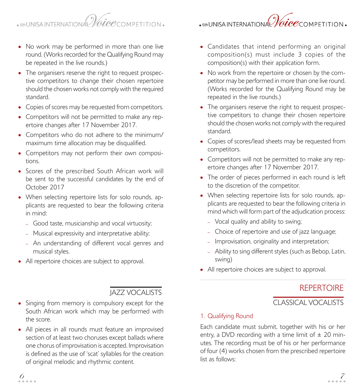## $\bullet$  6th UNISA INTERNATIONAL Valce competition  $\bullet$

- No work may be performed in more than one live round. (Works recorded for the Qualifying Round may be repeated in the live rounds.)
- The organisers reserve the right to request prospective competitors to change their chosen repertoire should the chosen works not comply with the required standard.
- Copies of scores may be requested from competitors.
- Competitors will not be permitted to make any repertoire changes after 17 November 2017.
- Competitors who do not adhere to the minimum/ maximum time allocation may be disqualified.
- Competitors may not perform their own compositions.
- Scores of the prescribed South African work will be sent to the successful candidates by the end of October 2017
- When selecting repertoire lists for solo rounds, applicants are requested to bear the following criteria in mind:
	- Good taste, musicianship and vocal virtuosity;
	- Musical expressivity and interpretative ability;
	- An understanding of different vocal genres and musical styles.
- All repertoire choices are subject to approval.

#### JAZZ VOCALISTS

- Singing from memory is compulsory except for the South African work which may be performed with the score.
- All pieces in all rounds must feature an improvised section of at least two choruses except ballads where one chorus of improvisation is accepted. Improvisation is defined as the use of 'scat' syllables for the creation of original melodic and rhythmic content.

• Candidates that intend performing an original composition(s) must include 3 copies of the

composition(s) with their application form.

- No work from the repertoire or chosen by the competitor may be performed in more than one live round. (Works recorded for the Qualifying Round may be repeated in the live rounds.)
- The organisers reserve the right to request prospective competitors to change their chosen repertoire should the chosen works not comply with the required standard.
- Copies of scores/lead sheets may be requested from competitors.
- Competitors will not be permitted to make any repertoire changes after 17 November 2017.
- The order of pieces performed in each round is left to the discretion of the competitor.
- When selecting repertoire lists for solo rounds, applicants are requested to bear the following criteria in mind which will form part of the adjudication process:
	- Vocal quality and ability to swing;
	- Choice of repertoire and use of jazz language;
	- Improvisation, originality and interpretation;
	- Ability to sing different styles (such as Bebop, Latin, swing)
- All repertoire choices are subject to approval.

#### REPERTOIRE

#### CLASSICAL VOCALISTS

#### 1. Qualifying Round

Each candidate must submit, together with his or her entry, a DVD recording with a time limit of  $\pm$  20 minutes. The recording must be of his or her performance of four (4) works chosen from the prescribed repertoire list as follows:

## $\centerdot$  6th UNISA INTERNATIONAL Valce competition .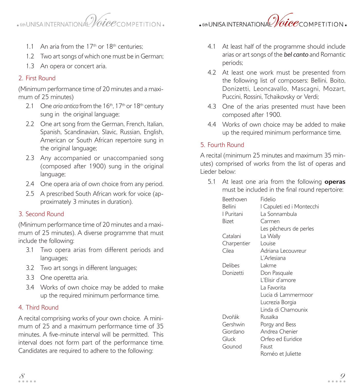## $\bullet$  6th UNISA INTERNATIONAL Valce competition  $\bullet$

 $\cdot$ 6thUNISAINTERNATIONAL $\% iee$ COMPETITION $\cdot$ 

- 1.1 An aria from the  $17<sup>th</sup>$  or  $18<sup>th</sup>$  centuries;
- 1.2 Two art songs of which one must be in German;
- 1.3 An opera or concert aria.

#### 2. First Round

(Minimum performance time of 20 minutes and a maximum of 25 minutes)

- 2.1 One *aria antica* from the 16<sup>th</sup>, 17<sup>th</sup> or 18<sup>th</sup> century sung in the original language:
- 2.2 One art song from the German, French, Italian, Spanish, Scandinavian, Slavic, Russian, English, American or South African repertoire sung in the original language:
- 2.3 Any accompanied or unaccompanied song (composed after 1900) sung in the original language;
- 2.4 One opera aria of own choice from any period.
- 2.5 A prescribed South African work for voice (approximately 3 minutes in duration).

#### 3. Second Round

(Minimum performance time of 20 minutes and a maximum of 25 minutes). A diverse programme that must include the following:

- 3.1 Two opera arias from different periods and languages;
- 3.2 Two art songs in different languages;
- 3.3 One operetta aria.
- 3.4 Works of own choice may be added to make up the required minimum performance time.

#### 4. Third Round

A recital comprising works of your own choice. A minimum of 25 and a maximum performance time of 35 minutes. A five-minute interval will be permitted. This interval does not form part of the performance time. Candidates are required to adhere to the following:

- 4.1 At least half of the programme should include arias or art songs of the *bel canto* and Romantic periods;
- 4.2 At least one work must be presented from the following list of composers: Bellini, Boito, Donizetti, Leoncavallo, Mascagni, Mozart, Puccini, Rossini, Tchaikovsky or Verdi;
- 4.3 One of the arias presented must have been composed after 1900.
- 4.4 Works of own choice may be added to make up the required minimum performance time.

#### 5. Fourth Round

A recital (minimum 25 minutes and maximum 35 minutes) comprised of works from the list of operas and Lieder below:

5.1 At least one aria from the following **operas**

|                | $1000$ $1100$ $1100$ $1000$                     |
|----------------|-------------------------------------------------|
|                | must be included in the final round repertoire: |
| Beethoven      | Fidelio                                         |
| <b>Bellini</b> | I Capuleti ed i Montecchi                       |
| I Puritani     | La Sonnambula                                   |
| Bizet          | Carmen                                          |
|                | Les pêcheurs de perles                          |
| Catalani       | La Wally                                        |
| Charpentier    | Louise                                          |
| Cilea          | Adriana Lecouvreur                              |
|                | L'Arlesiana                                     |
| Delibes        | Lakme                                           |
| Donizetti      | Don Pasquale                                    |
|                | L'Elisir d'amore                                |
|                | La Favorita                                     |
|                | Lucia di Lammermoor                             |
|                | Lucrezia Borgia                                 |
|                | Linda di Chamounix                              |
| Dvořák         | Rusalka                                         |
| Gershwin       | Porgy and Bess                                  |
| Giordano       | Andrea Chenier                                  |
| Gluck          | Orfeo ed Euridice                               |
| Gounod         | Faust                                           |
|                | Roméo et Juliette                               |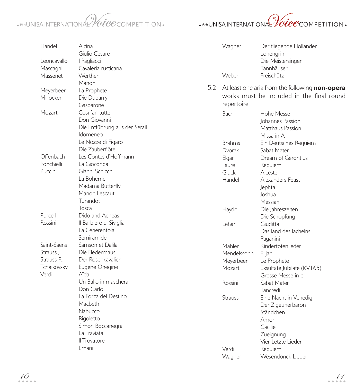

| Handel      | Alcina<br>Giulio Cesare       |     | Wagner                                    | Der fliegende Holländer<br>Lohengrin           |  |
|-------------|-------------------------------|-----|-------------------------------------------|------------------------------------------------|--|
| Leoncavallo | I Pagliacci                   |     |                                           | Die Meistersinger                              |  |
| Mascagni    | Cavaleria rusticana           |     |                                           | Tannhäuser                                     |  |
| Massenet    | Werther                       |     | Weber                                     | Freischütz                                     |  |
|             | Manon                         |     |                                           |                                                |  |
|             |                               | 5.2 |                                           | At least one aria from the following non-opera |  |
| Meyerbeer   | La Prophete                   |     | works must be included in the final round |                                                |  |
| Millocker   | Die Dubarry                   |     | repertoire:                               |                                                |  |
|             | Gasparone                     |     |                                           |                                                |  |
| Mozart      | Così fan tutte                |     | Bach                                      | Hohe Messe                                     |  |
|             | Don Giovanni                  |     |                                           | <b>Iohannes Passion</b>                        |  |
|             | Die Entführung aus der Serail |     |                                           | Matthaus Passion                               |  |
|             | Idomeneo                      |     |                                           | Missa in A                                     |  |
|             | Le Nozze di Figaro            |     | <b>Brahms</b>                             | Ein Deutsches Requiem                          |  |
|             | Die Zauberflöte               |     | Dvorak                                    | Sabat Mater                                    |  |
| Offenbach   | Les Contes d'Hoffmann         |     | Elgar                                     | Dream of Gerontius                             |  |
| Ponchielli  | La Gioconda                   |     | Faure                                     | Requiem                                        |  |
| Puccini     | Gianni Schicchi               |     | Gluck                                     | Alceste                                        |  |
|             | La Bohème                     |     | Handel                                    | Alexanders Feast                               |  |
|             | Madama Butterfly              |     |                                           | Jephta                                         |  |
|             | Manon Lescaut                 |     |                                           | loshua                                         |  |
|             | Turandot                      |     |                                           | Messiah                                        |  |
|             | Tosca                         |     | Haydn                                     | Die Jahreszeiten                               |  |
| Purcell     | Dido and Aeneas               |     |                                           | Die Schopfung                                  |  |
| Rossini     | Il Barbiere di Siviglia       |     | Lehar                                     | Giuditta                                       |  |
|             | La Cenerentola                |     |                                           | Das land des lachelns                          |  |
|             | Semiramide                    |     |                                           | Paganini                                       |  |
| Saint-Saëns | Samson et Dalila              |     | Mahler                                    | Kindertotenlieder                              |  |
| Strauss J.  | Die Fledermaus                |     | Mendelssohn                               | Elijah                                         |  |
| Strauss R.  | Der Rosenkavalier             |     | Meyerbeer                                 | Le Prophete                                    |  |
| Tchaikovsky | Eugene Onegine                |     | Mozart                                    | Exsultate Jubilate (KV165)                     |  |
| Verdi       | Aïda                          |     |                                           | Grosse Messe in c                              |  |
|             | Un Ballo in maschera          |     | Rossini                                   | Sabat Mater                                    |  |
|             | Don Carlo                     |     |                                           | Tancredi                                       |  |
|             | La Forza del Destino          |     | <b>Strauss</b>                            | Eine Nacht in Venedig                          |  |
|             | Macbeth                       |     |                                           | Der Zigeunerbaron                              |  |
|             | Nabucco                       |     |                                           | Ständchen                                      |  |
|             | Rigoletto                     |     |                                           | Amor                                           |  |
|             | Simon Boccanegra              |     |                                           | Cäcilie                                        |  |
|             | La Traviata                   |     |                                           | Zueignung                                      |  |
|             | Il Trovatore                  |     |                                           | Vier Letzte Lieder                             |  |
|             | Ernani                        |     | Verdi                                     |                                                |  |
|             |                               |     | Wagner                                    | Requiem<br>Wesendonck Lieder                   |  |
|             |                               |     |                                           |                                                |  |